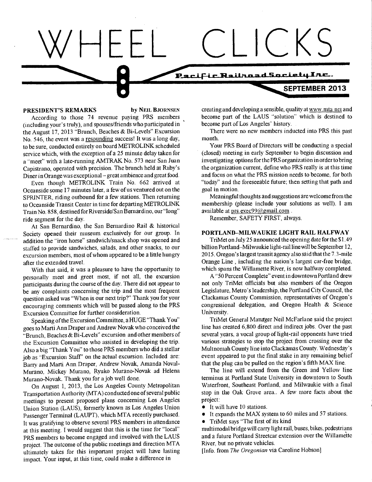#### Fic Railnoad Society Inc.

#### PRESIDENT'S REMARKS by NEIL BJORNSEN

According to those 74 revenue paying PRS members (including your's truly), and spouses/friends who participated in the August 17, 2013 "Brunch, Beaches & Bi-Levels" Excursion No. 546, the event was a resounding success! It was a long day, to be sure, conducted entirely on board METROLINK scheduled service which, with the exception of a 25 minute delay taken for a "meet" with a late-running AMTRAK No. 573 near San Juan Capistrano, operated with precision. The brunch held at Ruby's Diner in Orange was exceptional — great ambience and great food.

Even though METROLINK Train No. 662 arrived at Oceanside some 17 minutes later, a few of us ventured out on the SPRINTER, riding outbound for a few stations. Then returning to Oceanside Transit Center in time for departing METROLINK Train No. 858, destined for Riverside/San Bernardino, our "long" ride segment for the day.

At San Bernardino, the San Bernardino Rail & historical Society opened their museum exclusively for our group. In addition the "iron horse" sandwich/snack shop was opened and staffed to provide sandwiches, salads, and other snacks, to our excursion members, most of whom appeared to be a little hungry after the extended travel.

With that said, it was a pleasure to have the opportunity to personally meet and greet most, if not all, the excursion participants during the course of the day. There did not appear to be any complaints concerning the trip and the most frequent question asked was "When is our next trip?" Thank you for your encouraging comments which will be passed along to the PRS Excursion Committee for further consideration.

Speaking of the Excursion Committee, a HUGE "Thank You" goes to Marti Ann Draper and Andrew Novak who conceived the "Brunch, Beaches & Bi-Levels" excursion and other members of the Excursion Committee who assisted in developing the trip. Also a big "Thank You" to those PRS members who did a stellar job as "Excursion Staff' on the actual excursion. Included are: Barry and Marti Ann Draper, Andrew Novak, Amanda Noval-Murano, Mickey Murano, Ryuko Murano-Novak ad Helena Murano-Novak. Thank you for a job well done.

On August 1, 2013, the Los Angeles County Metropolitan Transportation Authority (MTA) conducted one of several public meetings to present proposed plans concerning Los Angeles Union Station (LAUS), formerly known as Los Angeles Union Passenger Terminal (LAUPT), which MTA recently purchased. It was gratifying to observe several PRS members in attendance at this meeting. I would suggest that this is the time for "local" PRS members to become engaged and involved with the LAUS project. The outcome of the public meetings and direction MTA ultimately takes for this important project will have lasting impact. Your input, at this time, could make a difference in

creating and developing a sensible, quality at WWW. mta. net and become part of the LAUS "solution" which is destined to become part of Los Angeles' history.

 $CKS$ 

**SEPTEMBER 2013** 

There were no new members inducted into PRS this past month.

Your PRS Board of Directors will be conducting a special (closed) meeting in early September to begin discussion and investigating options for the PRS organization in order to bring the organization current, define who PRS really is at this time and focus on what the PRS mission needs to become, for both "today" and the foreseeable future; then setting that path and goal in motion.

Meaningful thoughts and suggestions are welcome from the membership (please include your solutions as well). I am available at prs.exec $99@g$ mail.com.

Remember, SAFETY FIRST, always.

## PORTLAND—MILWAUKIE LIGHT RAIL HALFWAY

TriMet on July 25 announced the opening date for the \$1.49 billion Portland—Milwaukie light-rail line will be September 12, 2015. Oregon's largest transit agency also said that the 7.3 -mile Orange Line , including the nation's largest car-free bridge, which spans the Willamette River, is now halfway completed.

A "50 Percent Complete" event in downtown Portland drew not only TriMet officials but also members of the Oregon Legislature, Metro's leadership, the Portland City Council, the Clackamas County Commission, representatives of Oregon's congressional delegation, and Oregon Health & Science University.

TriMet General Manager Neil McFarlane said the project line has created 6,800 direct and indirect jobs. Over the past several years, a vocal group of light-rail opponents have tried various strategies to stop the project from crossing over the Multnomah County line into Clackamas County. Wednesday's event appeared to put the final stake in any remaining belief that the plug can be pulled on the region's fifth MAX line.

The line will extend from the Green and Yellow line terminus at Portland State University in downtown to South Waterfront, Southeast Portland, and Milwaukie with a final stop in the Oak Grove area.. A few more facts about the project:

- It will have 10 stations.
- It expands the MAX system to 60 miles and 57 stations.
- TriMet says "The first of its kind

multimodal bridge will carry light rail, buses, bikes, pedestrians and a future Portland Streetcar extension over the Willamette River, but no private vehicles.

[Info. from The Oregonian via Caroline Hobson]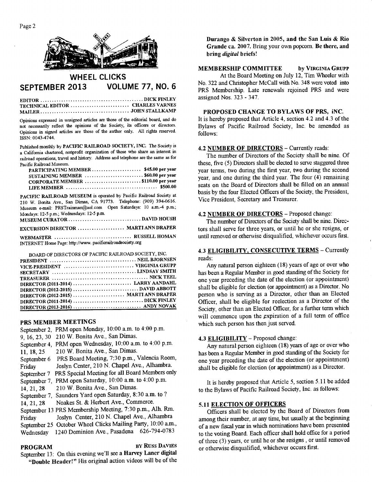

# **WHEEL CLICKS SEPTEMBER 2013 VOLUME 77, NO. 6**

**EDITOR DICK FINLEY TECHNICAL EDITOR**  ........................... CHARLES VARNES **MAILER JOHN STALLKAMP** 

Opinions expressed in unsigned articles are those of the editorial board, and do not necessarily reflect the opinions of the Society, its officers or directors. Opinions in signed articles are those of the author only. All rights reserved. ISSN: 0043-4744.

Published monthly by **PACIFIC RAILROAD SOCIETY, INC.** The Society is a California chartered, nonprofit organization of those who share an interest in railroad operations, travel and history. Address and telephone are the same as for Pacific Railroad Museum.

| SUSTAINING MEMBER \$60.00 per year |  |
|------------------------------------|--|
| CORPORATE MEMBER \$110.00 per year |  |
|                                    |  |

**PACIFIC RAILROAD MUSEUM** is operated by Pacific Railroad Society at 210 W. Bonita Ave., San Dimas, CA 91773. Telephone: (909) 394-0616. Museum e-mail: PRSTrainman@aol.com Open Saturdays: 10 a.m.-4 p.m.; Mondays: 12-5 p.m.; Wednesdays: 12-5 p.m.

| EXCURSION DIRECTOR  MARTI ANN DRAPER                       |  |
|------------------------------------------------------------|--|
|                                                            |  |
| INTERNET Home Page: http://www. pacificrailroadsociety.org |  |

BOARD OF DIRECTORS OF PACIFIC RAILROAD SOCIETY, INC. **PRESIDENT NEIL BJORNSEN VICE-PRESIDENT VIRGINIA GRUPP SECRETARY LINDSAY SMITH TREASURER NICK TEEL DIRECTOR (2011-2014) LARRY AANDAHL DIRECTOR (2012-2015) DAVID ABBOTT DIRECTOR (2012-2015) ........................ MARTI ANN DRAPER DIRECTOR (2011-2014) DICK FINLEY DIRECTOR (2013-2016) ANDY NOVAK** 

## PRS MEMBER MEETINGS

September 2, PRM open Monday, 10:00 a.m. to 4:00 p.m. 9, 16, 23, 30 210 W. Bonita Ave., San Dimas. September 4, PRM open Wednesday, 10:00 a.m. to 4:00 p.m. 11, 18, 25 210 W. Bonita Ave., San Dimas. September 6 PRS Board Meeting, 7:30 p.m., Valencia Room, Friday Joslyn Center, 210 N. Chapel Ave., Alhambra. September 7 PRS Special Meeting for all Board Members only September 7, PRM open Saturday, 10:00 a.m. to 4:00 p.m. 14, 21, 28 210 W. Bonita Ave., San Dimas. September 7, Saunders Yard open Saturday, 8:30 a.m. to ? 14, 21, 28 Noakes St. & Herbert Ave., Commerce. September 13 PRS Membership Meeting, 7:30 p.m., Alh. Rm. Friday Joslyn Center, 210 N. Chapel Ave., Alhambra September 25 October Wheel Clicks Mailing Party, 10:00 a.m., Wednesday 1240 Dominion Ave., Pasadena 626-794-0783

**PROGRAM BY RUSS DAVIES** September 13: On this evening we'll see a Harvey **Laner digital "Double Header!"** His original action videos will be of the **Durango & Silverton in 2005, and the San Luis & Rio Grande ca.** 2007. Bring your own popcorn. Be **there, and bring** *digital* **briefs!** 

**MEMBERSHIP COMMITTEE by VIRGINIA GRUPP**  At the Board Meeting on July 12, Tim Wheeler with No. 322 and Christopher McCall with No. 348 were voted into PRS Membership. Late renewals rejoined PRS and were assigned Nos. 323 - 347.

### **PROPOSED CHANGE TO BYLAWS OF PRS, iNC.**

It is hereby proposed that Article 4, section 4.2 and 4.3 of the Bylaws of Pacific Railroad Society, Inc. be amended as follows:

#### **4.2 NUMBER OF DIRECTORS —** Currently reads:

The number of Directors of the Society shall be nine. Of these, five (5) Directors shall be elected to serve staggered three year terms, two during the first year, two during the second year, and one during the third year. The four (4) remaining seats on the Board of Directors shall be filled on an annual basis by the four Elected Officers of the Society, the President, Vice President, Secretary and Treasurer.

#### **4.2 NUMBER OF DIRECTORS —** Proposed change:

The number of Directors of the Society shall be nine. Directors shall serve for three years, or until he or she resigns, or until removed or otherwise disqualified, whichever occurs first.

## **4.3 ELIGIBILITY, CONSECUTIVE TERMS —** Currently reads:

Any natural person eighteen (18) years of age or over who has been a Regular Member in good standing of the Society for one year preceding the date of the election (or appointment) shall be eligible for election (or appointment) as a Director. No person who is serving as a Director, other than an Elected Officer, shall be eligible for reelection as a Director of the Society, other than an Elected Officer, for a further term which will commence upon the expiration of a full term of office which such person has then just served.

#### **4.3 ELIGIBILITY —** Proposed change:

Any natural person eighteen (18) years of age or over who has been a Regular Member in good standing of the Society for one year preceding the date of the election (or appointment) shall be eligible for election (or appointment) as a Director.

It is hereby proposed that Article 5, section 5.11 be added to the Bylaws of Pacific Railroad Society, Inc. as follows:

### **5.11 ELECTION OF OFFICERS**

Officers shall be elected by the Board of Directors from among their number, at any time, but usually at the beginning of a new fiscal year in which nominations have been presented to the voting Board. Each officer shall hold office for a period of three (3) years, or until he or she resigns , or until removed or otherwise disqualified, whichever occurs first.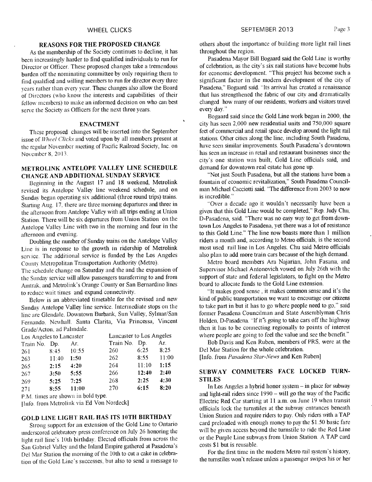## **REASONS FOR THE PROPOSED CHANGE**

As the membership of the Society continues to decline, it has been increasingly harder to find qualified individuals to run for Director or Officer. These proposed changes take a tremendous burden off the nominating committee by only requiring them to find qualified and willing members to run for director every three years rather than every year. These changes also allow the Board of Directors (who know the interests and capabilities of their fellow members) to make an informed decision on who can best serve the Society as Officers for the next three years.

#### **ENACTMENT**

These proposed changes will be inserted into the September issue of *Wheel Clicks* and voted upon by all members present at the regular November meeting of Pacific Railroad Society, Inc. on November 8, 2013.

## **METROLINK ANTELOPE VALLEY LINE SCHEDULE CHANGE AND ADDITIONAL SUNDAY SERVICE**

Beginning in the August 17 and 18 weekend, Metrolink revised its Antelope Valley line weekend schedule, and on Sunday began operating six additional (three round trips) trains. Starting Aug. 17, there are three morning departures and three in the afternoon from Antelope Valley with all trips ending at Union Station. There will be six departures from Union Station on the Antelope Valley Line with two in the morning and four in the afternoon and evening.

Doubling the number of Sunday trains on the Antelope Valley Line is in response to the growth in ridership of Metrolink service. The additional service is funded by the Los Angeles County Metropolitan Transportation Authority (Metro).

The schedule change on Saturday and the and the expansion of the Sunday service will allow passengers transferring to and from Amtrak, and Metrolink's Orange County or San Bernardino lines to reduce wait times and expand connectivity.

Below is an abbreviated timetable for the revised and new Sunday Antelope Valley line service. Intermediate stops on the line are Glendale, Downtown Burbank, Sun Valley, Sylmar/San Fernando, Newhall. Santa Clarita, Via Princessa, Vincent Grade/Acton. ad Palmdale.

| Los Angeles to Lancaster |                |       | Lancaster to Los Angeles |       |       |
|--------------------------|----------------|-------|--------------------------|-------|-------|
| Train No.                | D <sub>p</sub> | Ar.   | Train No.                | Dp.   | Ar.   |
| 261                      | 8:45           | 10:55 | 260                      | 6:25  | 8:25  |
| 263                      | 11:40          | 1:50  | 262                      | 8:55  | 11:00 |
| 265                      | 2:15           | 4:20  | 264                      | 11:10 | 1:15  |
| 267                      | 3:50           | 5:55  | 266                      | 12:40 | 2:40  |
| 269                      | 5:25           | 7:25  | 268                      | 2:25  | 4:30  |
| 271                      | 8:55           | 11:00 | 270                      | 6:15  | 8:20  |

P.M. times are shown in bold type.

!Info. from Metrolink via Ed Von Nordeck]

## **GOLD LINE LIGHT RAIL HAS ITS 10TH BIRTHDAY**

Strong support for an extension of the Gold Line to Ontario underscored celebratory press conference on July 26 honoring the light rail line's 10th birthday. Elected officials from across the San Gabriel Valley and the Inland Empire gathered at Pasadena's Del Mar Station the morning of the 10th to cut a cake in celebration of the Gold Line's successes, but also to send a message to

others about the importance of building more light rail lines throughout the region.

Pasadena Mayor Bill Bogaard said the Gold Line is worthy of celebration, as the city's six rail stations have become hubs for economic development. "This project has become such a significant factor in the modern development of the city of Pasadena," Bogaard said. "Its arrival has created a renaissance that has strengthened the fabric of our city and dramatically changed how many of our residents, workers and visitors travel every day."

Bogaard said since the Gold Line work began in 2000, the city has seen 2,000 new residential units and 750,000 square feet of commercial and retail space develop around the light rail stations. Other cities along the line, including South Pasadena, have seen similar improvements. South Pasadena's downtown has seen an increase in retail and restaurant businesses since the city's one station was built, Gold Line officials said, and demand for downtown real estate has gone up.

"Not just South Pasadena, **but all** the stations have been a fountain of economic revitalization," South Pasadena Councilman Michael Cacciotti said. "The difference from 2003 to now is incredible."

"Over a decade ago it wouldn't necessarily have been a given that this Gold Line would be completed," Rep. Judy Chu, D-Pasadena, said. "There was no easy way to get from downtown Los Angeles to Pasadena, yet there was a lot of resistance to this Gold Line." The line now boasts more than 1 **million**  riders a month and, according to Metro officials, is the second most used rail line in Los Angeles. Chu said Metro officials also plan to add more train cars because of the high demand.

Metro board members Ara Najarian, John Fasana, and Supervisor Michael Antonovich vowed on July 26th with the support of state and federal legislators, to fight on the Metro board to allocate funds to the Gold Line extension.

"It makes good sense , it makes common sense and it's the kind of public transportation we want to encourage our citizens to take part in but it has to go where people need to go," said former Pasadena Councilman and State Assemblyman Chris Holden, D-Pasadena. "If it's going to take cars off the highway then it has to be connecting regionally to points of interest where people are going to feel the value and see the benefit."

Bob Davis and Ken Ruben, members of PRS, were at the Del Mar Station for the whole celebration. [Info. from *Pasadena Star-News* and Ken Ruben]

## **SUBWAY COMMUTERS FACE LOCKED TURN-STILES**

In Los Angeles a hybrid honor system — in place for subway and light-rail riders since 1990 — will go the way of the Pacific Electric Red Car starting at 11 a.m. on June 19 when transit officials lock the turnstiles at the subway entrances beneath Union Station and require riders to pay. Only riders with a TAP card preloaded with enough money to pay the \$1.50 basic fare will be given access beyond the turnstile to ride the Red Line or the Purple Line subways from Union Station. A TAP card costs \$1 but is reusable.

For the first time in the modern Metro rail system's history, the turnstiles won't release unless a passenger swipes his or her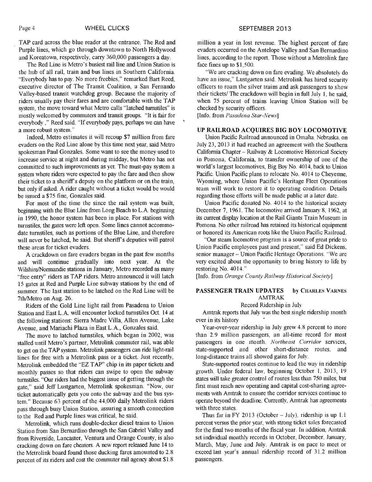TAP card across the blue reader at the entrance. The Red and Purple lines, which go through downtown to North Hollywood and Koreatown, respectively, carry 360,000 passengers a day.

The Red Line is Metro's busiest rail line and Union Station is the hub of all rail, train and bus lines in Southern California. "Everybody has to pay. No more freebies," remarked Bart Reed, executive director of The Transit Coalition, a San Fernando Valley-based transit watchdog group. Because the majority of riders usually pay their fares and are comfortable with the TAP system, the move toward what Metro calls "latched turnstiles" is mostly welcomed by commuters and transit groups. "It is fair for everybody ," Reed said. "If everybody pays, perhaps we can have a more robust system."

Indeed, Metro estimates it will recoup \$7 million from fare evaders on the Red Line alone by this time next year, said Metro spokesman Paul Gonzales. Some want to see the money used to increase service at night and during midday, but Metro has not committed to such improvements as yet. The must-pay system a system where riders were expected to pay the fare and then show their ticket to a sheriff's deputy on the platform or on the train, but only if asked. A rider caught without a ticket would be would be issued a \$75 fine, Gonzales said.

For most of the time the since the rail system was built, beginning with the Blue Line from Long Beach to L.A. beginning in 1990, the honor system has been in place. For stations with turnstiles, the gates were left open. Some lines cannot accommodate turnstiles, such as portions of the Blue Line, and therefore will never be latched, he said. But sheriff's deputies will patrol these areas for ticket evaders.

A crackdown on fare evaders began in the past few months and will continue gradually into next year. At the Wilshire/Normandie stations in January, Metro recorded as many "free entry" riders as TAP riders. Metro announced it will latch 15 gates at Red and Purple Line subway stations by the end of summer. The last station to be latched on the Red Line will be 7th/Metro on Aug. 26.

Riders of the Gold Line light rail from Pasadena to Union Station and East L.A. will encounter locked turnstiles Oct. 14 at the following stations: Sierra Madre Villa, Allen Avenue, Lake Avenue, and Mariachi Plaza in East L.A., Gonzales said.

The move to latched turnstiles, which began in 2002, was stalled until Metro's partner, Metrolink commuter rail, was able to get on the TAP system. Metrolink passengers can ride light-rail lines for free with a Metrolink pass or a ticket. Just recently, Metrolink embedded the "EZ TAP" chip in its paper tickets and monthly passes so that riders can swipe to open the subway turnstiles. "Our riders had the biggest issue of getting through the gate," said Jeff Lustgarten, Metrolink spokesman. "Now, our ticket automatically gets you onto the subway and the bus system." Because 63 percent of the 44,000 daily Metrolink riders pass through busy Union Station, assuring a smooth connection to the Red and Purple lines was critical, he said.

Metrolink, which runs double-decker diesel trains to Union Station from San Bernardino through the San Gabriel Valley and from Riverside, Lancaster, Ventura and Orange County, is also cracking down on fare cheaters. A new report released June 14 to the Metrolink board found those ducking fares amounted to 2.8 percent of its riders and cost the commuter rail agency about \$1.8

million a year in lost revenue. The highest percent of fare evaders occurred on the Antelope Valley and San Bernardino lines, according to the report. Those without a Metrolink fare face fines up to \$1,500.

"We are cracking down on fare evading. We absolutely do have an issue," Lustgarten said. Metrolink has hired security officers to roam the silver trains and ask passengers to show their tickets/ The crackdown will begin in full July 1, he said, when 75 percent of trains leaving Union Station will be checked by security officers.

[Info. from *Pasadena Star-News]* 

#### UP RAILROAD ACQUIRES BIG BOY LOCOMOTIVE

Union Pacific Railroad announced in Omaha. Nebraska, on July 23, 2013 it had reached an agreement with the Southern California Chapter — Railway & Locomotive Historical Society in Pomona, California, to transfer ownership of one of the world's largest locomotives, Big Boy No. 4014, back to Union Pacific. Union Pacific plans to relocate No. 4014 to Cheyenne, Wyoming, where Union Pacific's Heritage Fleet Operations team will work to restore it to operating condition. Details regarding those efforts will be made public at a later date.

Union Pacific donated No. 4014 to the historical society December 7, 1961. The locomotive arrived January 8, 1962, at its current display location at the Rail Giants Train Museum in Pomona. No other railroad has retained its historical equipment or honored its American roots like the Union Pacific Railroad.

"Our steam locomotive program is a source of great pride to Union Pacific employees past and present," said Ed Dickens, senior manager — Union Pacific Heritage Operations. "We are very excited about the opportunity to bring history to life by restoring No. 4014."

[Info. from *Orange County Railway Historical Society]* 

## PASSENGER TRAIN UPDATES by CHARLES VARNES AMTRAK

### Record Ridership in July

Amtrak reports that July was the best single ridership month ever in its history

Year-over-year ridership in July grew 4.8 percent to more than 2.9 million passengers, an all-time record for most passengers in one month. *Northeast Corridor* services, state-supported and other short-distance routes, and long-distance trains all showed gains for July.

State-supported routes continue to lead the way in ridership growth. Under federal law, beginning October 1, 2013, 19 states will take greater control of routes less than 750 miles, but first must reach new operating and capital cost-sharing agreements with Amtrak to ensure the corridor services continue to operate beyond the deadline. Currently, Amtrak has agreements with three states.

Thus far in FY 2013 (October — July), ridership is up 1.1 percent versus the prior year, with strong ticket sales forecasted for the final two months of the fiscal year. In addition, Amtrak set individual monthly records in October, December, January, March, May, June and July. Amtrak is on pace to meet or exceed last year's annual ridership record of 31.2 million passengers.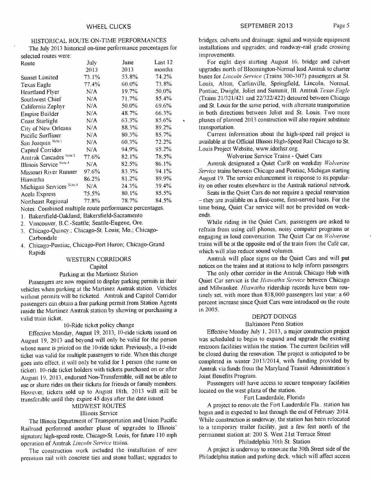# HISTORICAL ROUTE ON-TIME PERFORMANCES

The July 2013 historical on-time performance percentages for selected routes were:

| Route                               | July  | June     | Last 12 |
|-------------------------------------|-------|----------|---------|
|                                     | 2013  | 2013     | months  |
| Sunset Limited                      | 73.1% | 53.8%    | 74.2%   |
| Texas Eagle                         | 77.4% | $60.0\%$ | 73.8%   |
| Heartland Flyer                     | N/A   | 19.7%    | 50.0%   |
| Southwest Chief                     | N/A   | 71.7%    | 85.4%   |
| California Zephyr                   | N/A   | 50.0%    | 69.6%   |
| <b>Empire Builder</b>               | N/A   | 48.7%    | 66.3%   |
| <b>Coast Starlight</b>              | N/A   | 63.3%    | 85.6%   |
| City of New Orleans                 | N/A   | 88.3%    | 89.2%   |
| Pacific Surfliner                   | N/A   | 80.3%    | 85.7%   |
| San Joaquin <sup>Note 1</sup>       | N/A   | 60.3%    | 72.2%   |
| Capitol Corridor                    | N/A   | 94.9%    | 95.2%   |
| Amtrak Cascades Note 2              | 77.6% | 82.1%    | 78.5%   |
| Illinois Service Note 3             | N/A   | 82.5%    | 86.1%   |
| Missouri River Runner               | 97.6% | 83.3%    | 94.1%   |
| Hiawatha                            | 86.2% | 81.2%    | 89.9%   |
| Michigan Services <sup>Note 4</sup> | N/A   | 24.3%    | 39.4%   |
| <b>Acela Express</b>                | 75.5% | 80.1%    | 85.5%   |
| Northeast Regional                  | 77.8% | 78.7%    | 84.5%   |

Notes. Combined multiple route performance percentages.

- 1. Bakersfield-Oakland; Bakersfield-Sacramento
- 2. Vancouver, B.C.-Seattle; Seattle-Eugene, Ore.
- 3. Chicago-Quincy.; Chicago-St. Louis; Mo.; Chicago-Carbondale
- 4. Chicago-Pontiac, Chicago-Port Huron; Chicago-Grand Rapids

## WESTERN CORRIDORS

#### Capitol

## Parking at the Martinez Station

Passengers are now required to display parking permits in their vehicles when parking at the Martinez Amtrak station. Vehicles without permits will be ticketed. Amtrak and Capitol Corridor passengers can obtain a free parking permit from Station Agents inside the Martinez Amtrak station by showing or purchasing a valid train ticket.

## 10-Ride ticket policy change

Effective Monday, August 19, 2013, 10-ride tickets issued on August 19, 2013 and beyond will only be valid for the person whose name is printed on the 10-ride ticket. Previously, a 10-ride ticket was valid for multiple passengers to ride. When this change goes into effect, it will only be valid for 1 person (the name on ticket). 10-ride ticket holders with tickets purchased on or after August 19, 2013, endorsed Non-Transferrable, will not be able to use or share rides on their tickets for friends or family members. However, tickets sold up to August 18th, 2013 will still be transferable until they expire 45 days after the date issued.

# MIDWEST ROUTES

#### Illinois Service

The Illinois Department of Transportation and Union Pacific Railroad performed another phase of upgrades to Illinois' signature high-speed route, Chicago-St. Louis, for future 110 mph operation of Amtrak *Lincoln Service* trains.

The construction work included the installation of new premium rail with concrete ties and stone ballast; upgrades to bridges, culverts and drainage; signal and wayside equipment installations and upgrades; and roadway-rail grade crossing improvements.

For eight days starting August 16, bridge and culvert upgrades north of Bloomington-Normal lead Amtrak to charter buses for *Lincoln Service* (Trains 300-307) passengers at St. Louis, Alton, Carlinville, Springfield, Lincoln, Normal. Pontiac, Dwight, Joliet and Summit, Ill. Amtrak *Texas Eagle*  (Trains 21/321/421 and 22/322/422) detoured between Chicago and St. Louis for the same period, with alternate transportation in both directions between Joliet and St. Louis. Two more phases of planned 2013 construction will also require substitute transportation.

Current information about the high-speed rail project is available at the Official Illinois High-Speed Rail Chicago to St. .Louis Project Website, www.idothsr.org.

## Wolverine Service Trains - Quiet Cars

Amtrak designated a Quiet Car® on weekday *Wolverine Service* trains between Chicago and Pontiac, Michigan starting August 19. The service enhancement in response to its popularity on other routes elsewhere in the Amtrak national network.

Seats in the Quiet Cars do not require a special reservation - they are available on a first-come, first-served basis. For the time being, Quiet Car service will not be provided on weekends.

While riding in the Quiet Cars, passengers are asked to refrain from using cell phones, noisy computer programs or engaging in loud conversation. The Quiet Car on *Wolverine*  trains will be at the opposite end of the train from the Café car, which will also reduce sound volumes.

Amtrak will place signs on the Quiet Cars and will put notices on the trains and at stations to help inform passengers.

The only other corridor in the Amtrak Chicago Hub with Quiet Car service is the *Hiawatha Service* between Chicago and Milwaukee. *Hiawatha* ridership records have been routinely set, with more than 838,000 passengers last year: a 60 percent increase since Quiet Cars were introduced on the route in 2005.

## DEPOT DOINGS

#### Baltimore Penn Station

Effective Monday July 1, 2013, a major construction project was scheduled to begin to expand and upgrade the existing restroom facilities within the station. The current facilities will be closed during the renovation. The project is anticipated to be completed in winter 2013/2014, with funding provided by Amtrak via funds from the Maryland Transit Administration's Joint Benefits Program.

Passengers will have access to secure temporary facilities located on the west plaza of the station.

#### Fort Lauderdale, Florida

A project to renovate the Fort Lauderdale Fla.. station has begun and is expected to last through the end of February 2014. While construction is underway, the station has been relocated to a temporary trailer facility, just a few feet north of the permanent station at: 200 S. West 21st Terrace Street

#### Philadelphia 30th St. Station

A project is underway to renovate the 30th Street side of the Philadelphia station and parking deck, which will affect access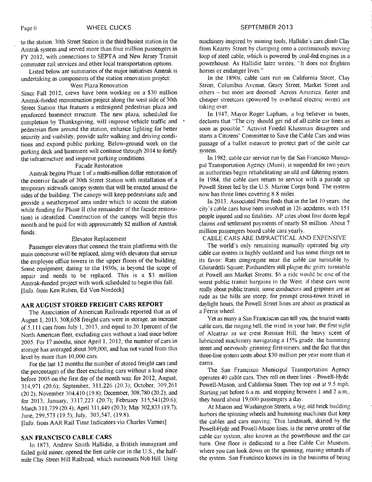to the station. 30th Street Station is the third busiest station in the Amtrak system and served more than four million passengers in FY 2012, with connections to SEPTA and New Jersey Transit commuter rail services and other local transportation options.

Listed below are summaries of the major initiatives Amtrak is undertaking as components of the station renovation project:

## West Plaza Renovation

Since Fall 2012, crews have been working on a \$30 million Amtrak-funded reconstruction project along the west side of 30th Street Station that features a redesigned pedestrian plaza and reinforced basement structure. The new plaza, scheduled for completion by Thanksgiving, will improve vehicle traffic and pedestrian flow around the station, enhance lighting for better security and visibility, provide safer walking and driving conditions and expand public parking. Below-ground work on the parking deck and basement will continue through 2014 to fortify the infrastructure and improve parking conditions.

## Facade Restoration

Amtrak begins Phase I of a multi-million dollar restoration of the exterior facade of 30th Street Station with installation of a temporary sidewalk canopy system that will be erected around the sides of the building. The canopy will keep pedestrians safe and provide a weatherproof area under which to access the station while funding for Phase II (the remainder of the facade restoration) is identified. Construction of the canopy will begin this month and be paid for with approximately \$2 million of Amtrak funds.

### Elevator Replacement

Passenger elevators that connect the train platforms with the main concourse will be replaced, along with elevators that service the employee office towers in the upper floors of the building. Some equipment, dating to the 1930s, is beyond the scope of repair and needs to be replaced. This is a \$3 million Amtrak-funded project with work scheduled to begin this fall. [Info. from Ken Ruben, Ed Von Nordeck]

# **AAR AUGUST STORED FREIGHT CARS REPORT**

The Association of American Railroads reported that as of August 1, 2013, 308,658 freight cars were in storage, an increase of 5,111 cars from July 1, 2013, and equal to 20.1percent of the North American fleet, excluding cars without a load since before 2005. For 17 months, since April 1, 2012, the number of cars in storage has averaged about 309,000, and has not varied from this level by more than 10,000 cars.

For the last 12 months the number of stored freight cars (and the percentage) of the fleet excluding cars without a load since before 2005 on the first day of the month was: for 2012, August, 314,971 (20.6); September, 311,226 (20.3); October, 309,261 (20.2); November 304,410 (19.8); December, 308,780 (20.2); and for 2013; January, 3317,223 (20.7); February 315,541(20.6); March 311,739 (20.4); April 311,449 (20.3); May 302,833 (19.7); June, 299,573 (19.5); July, 303,547, (19.8).

[Info. from AAR Rail Time Indicators via Charles Varnes]

#### **SAN FRANCISCO CABLE CARS**

In 1873, Andrew Smith Hallidie, a British immigrant and failed gold miner, opened the first cable car in the U.S., the halfmile Clay Street Hill Railroad, which surmounts Nob Hill. Using machinery inspired by mining tools, Hallidie's cars climb Clay from Kearny Street by clamping onto a continuously moving loop of steel cable, which is powered by coal-fed engines in a powerhouse. As Hallidie later writes, "It does not frighten horses or endanger lives."

In the 1890s, cable cars run on California Street, Clay Street, Columbus Avenue, Geary Street, Market Street and others — but most are doomed. Across America, faster and cheaper streetcars (powered by overhead electric wires) are taking over.

In 1947, Mayor Roger Lapham, a big believer in buses, declares that "The city should get rid of all cable car lines as soon as possible." Activist Friedel Klussman disagrees and starts a Citizens' Committee to Save the Cable Cars and wins passage of a ballot measure to protect part of the cable car system.

In 1982, cable car service run by the San Francisco Municipal Transportation Agency (Muni), is suspended for two years as authorities begin rehabilitating an old and faltering system. In 1984, the cable cars return to service with a parade up Powell Street led by the U.S. Marine Corps band. The system now has three lines covering 8.8 miles.

In 2013, Associated Press finds that in the last 10 years, the city's cable cars have been involved in 126 accidents, with 151 people injured and no fatalities. AP cites about four dozen legal claims and settlement payments of nearly \$8 million. About 7 million passengers board cable cars yearly.

CABLE CARS ARE IMPRACTICAL AND EXPENSIVE

The world's only remaining manually operated big city cable car system is highly outdated and has some things not in its favor: Rats congregate near the cable car turntable by Ghirardelli Square: Panhandlers still plague the gritty turntable at Powell ans Market Streets; \$6 a ride would be one of the worst public transit bargains in the West, if these cars were really about public transit; some conductors and gripmen are as rude as the hills are steep; for prompt cross-town travel in daylight hours, the Powell Street lines are about as practical as a Ferris wheel.

Yet as many a San Franciscan can tell you, the tourist wants cable cars, the ringing bell, the wind in your hair, the first sight of Alcatraz as we crest Russian Hill, the heavy scent of lubricated machinery navigating a 15% grade, the humming street and nervously grinning first-timers, and the fact that this three-line system costs about \$30 million per year more than it earns.

The San Francisco Municipal Transportation Agency operates 40 cable cars. They roll on three lines — Powell-Hyde, Powell-Mason, and California Street. They top out at 9.5 mph. Starting just before  $6$  a.m. and stopping between 1 and 2 a,m,, they board about 19,000 passengers a day.

At Mason and Washington Streets, a big, old brick building harbors the spinning wheels and humming machines that keep the cables and cars moving. This landmark, skirted by the Powell-Hyde and Powell-Mason lines, is the nerve center of the cable car system, also known as the powerhouse and the car barn. One floor is dedicated to a free Cable Car Museum, where you can look down on the spinning, roaring innards of the system. San Francisco knows its in the business of being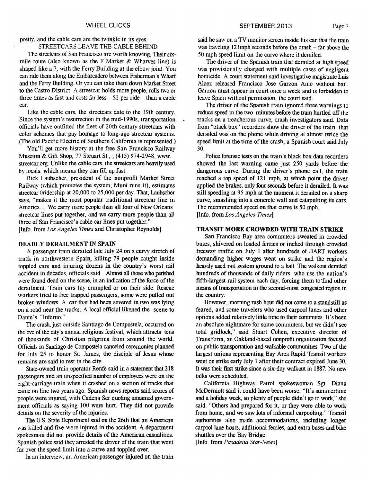pretty, and the cable cars are the twinkle in its eyes. STREETCARS LEAVE THE CABLE BEHIND

The streetcars of San Francisco are worth knowing. Their sixmile route (also known as the F Market  $&$  Wharves line) is shaped like a 7, with the Ferry Building at the elbow joint. You can ride them along the Embarcadero between Fisherman's Wharf and the Ferry Building. Or you can take them down Market Street to the Castro District. A streetcar holds more people, rolls two or three times as fast and costs far less  $-$  \$2 per ride  $-$  than a cable car.

Like the cable cars, the streetcars date to the 19th century. Since the system's resurrection in the mid-1990s, transportation officials have outfitted the fleet of 20th century streetcars with color schemes that pay homage to long-ago streetcar systems. (The old Pacific Electric of Southern California is represented.)

You'll get more history at the free San Francisco Railway Museum & Gift Shop, 77 Steuart St., ; (415) 974-2948, www. streetcar.org. Unlike the cable cars, the streetcars are heavily used by locals. which means they can fill up fast.

Rick Laubscher, president of the nonprofit Market Street Railway (which promotes the system; Muni runs it), estimates streetcar Oridership at 20,000 to 25,000 per day. That, Laubscher says, "makes it the most popular traditional streetcar line in America.... We carry more people than all four of New Orleans' streetcar lines put together, and we carry more people than all three of San Francisco's cable car lines put together." [Info. from *Los Angeles Times* and Christopher Reynolds]

#### DEADLY DERAILMENT IN SPAIN

A passenger train derailed late July 24 on a curvy stretch of track in northwestern Spain, killing 79 people caught inside toppled cars and injuring dozens in the country's worst rail accident in decades, officials said. Almost all those who perished were found dead on the scene, in an indication of the force of the derailment. Train cars lay crumpled or on their side. Rescue workers tried to free trapped passengers, some were pulled out broken windows. A car that had been severed in two was lying on a road near the tracks. A local official likened the scene to Dante's "Inferno."

The crash, just outside Santiago de Compostela, occurred on the eve of the city's annual religious festival, which attracts tens of thousands of Christian pilgrims from around the world. Officials in Santiago de Compostela canceled ceremonies planned for July 25 to honor St. James, the disciple of Jesus whose remains are said to rest in the city.

State-owned train operator Renfe said in a statement that 218 passengers and an unspecified number of employees were on the eight-carriage train when it crashed on a section of tracks that came on line two years ago. Spanish news reports said scores of people were injured, with Cadena Ser quoting unnamed government officials as saying 100 were hurt. They did not provide details on the severity of the injuries.

The U.S. State Department said on the 26th that an American was killed and five were injured in the accident. A department spokesman did not provide details of the American casualities. Spanish police said they arrested the driver of the train that went far over the speed limit into a curve and toppled over.

In an interview, an American passenger injured on the train

WHEEL CLICKS **SEPTEMBER 2013** Page 7

said he saw on a TV monitor screen inside his car that the train was traveling 121mph seconds before the crash — far above the 50 mph speed limit on the curve where it derailed.

The driver of the Spanish train that derailed at high speed was provisionally charged with multiple cases of negligent homicide. A court statement said investigative magistrate Luis Alaez released Francisco Jose Garzon Amo without bail. Garzon must appear in court once a week and is forbidden to leave Spain without permission, the court said.

The driver of the Spanish train ignored three warnings to reduce speed in the two minutes before the train hurtled off the tracks on a treacherous curve, crash investigators said. Data from "black box" recorders show the driver of the train that derailed was on the phone while driving at almost twice the speed limit at the time of the crash, a Spanish court said July 30.

Police forensic tests on the train's black box data recorders showed the last warning came just 250 yards before the dangerous curve. During the driver's phone call, the train reached a top speed of 121 mph, at which point the driver applied the brakes, only four seconds before it derailed. It was still speeding at 95 mph at the moment it derailed on a sharp curve, smashing into a concrete wall and catapulting its cars. The recommended speed on that curve is 50 mph.

[Info. from *Los Angeles Times]* 

 $\mathbf{v}$ 

#### **TRANSIT MORE CROWDED WITH TRAIN STRIKE**

San Francisco Bay area commuters sweated in crowded buses, shivered on loaded ferries or inched through crowded freeway traffic on July 1 after hundreds of BART workers demanding higher wages went on strike and the region's heavily used rail system ground to a halt. The walkout derailed hundreds of thousands of daily riders who use the nation's fifth-largest rail system each day, forcing them to 'find other means of transportation in the second-most congested region in the country.

However, morning rush hour did not come to a standstill as feared, and some travelers who used carpool lanes and other options added relatively little time to their commutes. It's been an absolute nightmare for some commuters, but we didn't see total gridlock," said Stuart Cohen, executive director of TransForm, an Oakland-based nonprofit organization focused on public transportation and walkable communities. Two of the largest unions representing Bay Area Rapid Transit workers went on strike early July 1 after their contract expired June 30. It was their first strike since a six-day walkout in 1887. No new talks were scheduled.

California Highway Patrol spokeswoman Sgt. Diana McDermott said it could have been worse. "It's summertime and a holiday week, so plenty of people didn't go to work," she said. "Others had prepared for it, or they were able to work from home, and we saw lots of informal carpooling." Transit authorities also made accommodations, including longer carpool lane hours, additional ferries, and extra buses and bike shuttles over the Bay Bridge.

[Info. from *Pasadena Star-News]*